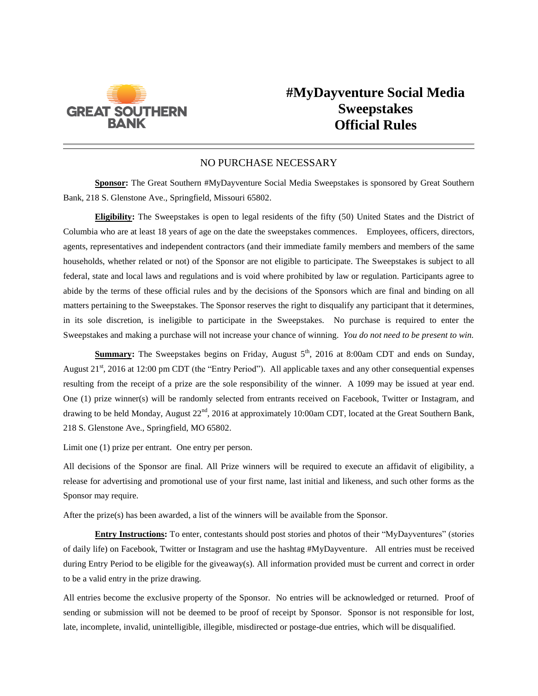

## **#MyDayventure Social Media Sweepstakes Official Rules**

## NO PURCHASE NECESSARY

**Sponsor:** The Great Southern #MyDayventure Social Media Sweepstakes is sponsored by Great Southern Bank, 218 S. Glenstone Ave., Springfield, Missouri 65802.

**Eligibility:** The Sweepstakes is open to legal residents of the fifty (50) United States and the District of Columbia who are at least 18 years of age on the date the sweepstakes commences. Employees, officers, directors, agents, representatives and independent contractors (and their immediate family members and members of the same households, whether related or not) of the Sponsor are not eligible to participate. The Sweepstakes is subject to all federal, state and local laws and regulations and is void where prohibited by law or regulation. Participants agree to abide by the terms of these official rules and by the decisions of the Sponsors which are final and binding on all matters pertaining to the Sweepstakes. The Sponsor reserves the right to disqualify any participant that it determines, in its sole discretion, is ineligible to participate in the Sweepstakes. No purchase is required to enter the Sweepstakes and making a purchase will not increase your chance of winning. *You do not need to be present to win.*

**Summary:** The Sweepstakes begins on Friday, August  $5<sup>th</sup>$ , 2016 at 8:00am CDT and ends on Sunday, August  $21<sup>st</sup>$ , 2016 at 12:00 pm CDT (the "Entry Period"). All applicable taxes and any other consequential expenses resulting from the receipt of a prize are the sole responsibility of the winner. A 1099 may be issued at year end. One (1) prize winner(s) will be randomly selected from entrants received on Facebook, Twitter or Instagram, and drawing to be held Monday, August 22<sup>nd</sup>, 2016 at approximately 10:00am CDT, located at the Great Southern Bank, 218 S. Glenstone Ave., Springfield, MO 65802.

Limit one (1) prize per entrant. One entry per person.

All decisions of the Sponsor are final. All Prize winners will be required to execute an affidavit of eligibility, a release for advertising and promotional use of your first name, last initial and likeness, and such other forms as the Sponsor may require.

After the prize(s) has been awarded, a list of the winners will be available from the Sponsor.

**Entry Instructions:** To enter, contestants should post stories and photos of their "MyDayventures" (stories of daily life) on Facebook, Twitter or Instagram and use the hashtag #MyDayventure. All entries must be received during Entry Period to be eligible for the giveaway(s). All information provided must be current and correct in order to be a valid entry in the prize drawing.

All entries become the exclusive property of the Sponsor. No entries will be acknowledged or returned. Proof of sending or submission will not be deemed to be proof of receipt by Sponsor. Sponsor is not responsible for lost, late, incomplete, invalid, unintelligible, illegible, misdirected or postage-due entries, which will be disqualified.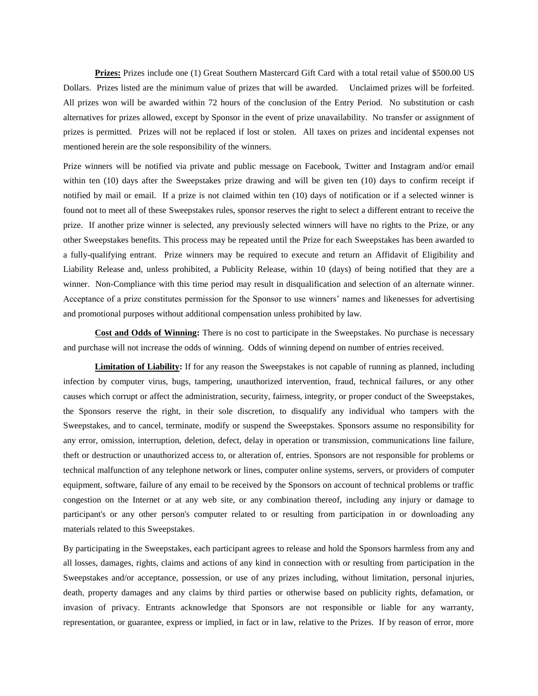**Prizes:** Prizes include one (1) Great Southern Mastercard Gift Card with a total retail value of \$500.00 US Dollars. Prizes listed are the minimum value of prizes that will be awarded. Unclaimed prizes will be forfeited. All prizes won will be awarded within 72 hours of the conclusion of the Entry Period. No substitution or cash alternatives for prizes allowed, except by Sponsor in the event of prize unavailability. No transfer or assignment of prizes is permitted. Prizes will not be replaced if lost or stolen. All taxes on prizes and incidental expenses not mentioned herein are the sole responsibility of the winners.

Prize winners will be notified via private and public message on Facebook, Twitter and Instagram and/or email within ten (10) days after the Sweepstakes prize drawing and will be given ten (10) days to confirm receipt if notified by mail or email. If a prize is not claimed within ten (10) days of notification or if a selected winner is found not to meet all of these Sweepstakes rules, sponsor reserves the right to select a different entrant to receive the prize. If another prize winner is selected, any previously selected winners will have no rights to the Prize, or any other Sweepstakes benefits. This process may be repeated until the Prize for each Sweepstakes has been awarded to a fully-qualifying entrant. Prize winners may be required to execute and return an Affidavit of Eligibility and Liability Release and, unless prohibited, a Publicity Release, within 10 (days) of being notified that they are a winner. Non-Compliance with this time period may result in disqualification and selection of an alternate winner. Acceptance of a prize constitutes permission for the Sponsor to use winners' names and likenesses for advertising and promotional purposes without additional compensation unless prohibited by law.

**Cost and Odds of Winning:** There is no cost to participate in the Sweepstakes. No purchase is necessary and purchase will not increase the odds of winning. Odds of winning depend on number of entries received.

**Limitation of Liability:** If for any reason the Sweepstakes is not capable of running as planned, including infection by computer virus, bugs, tampering, unauthorized intervention, fraud, technical failures, or any other causes which corrupt or affect the administration, security, fairness, integrity, or proper conduct of the Sweepstakes, the Sponsors reserve the right, in their sole discretion, to disqualify any individual who tampers with the Sweepstakes, and to cancel, terminate, modify or suspend the Sweepstakes. Sponsors assume no responsibility for any error, omission, interruption, deletion, defect, delay in operation or transmission, communications line failure, theft or destruction or unauthorized access to, or alteration of, entries. Sponsors are not responsible for problems or technical malfunction of any telephone network or lines, computer online systems, servers, or providers of computer equipment, software, failure of any email to be received by the Sponsors on account of technical problems or traffic congestion on the Internet or at any web site, or any combination thereof, including any injury or damage to participant's or any other person's computer related to or resulting from participation in or downloading any materials related to this Sweepstakes.

By participating in the Sweepstakes, each participant agrees to release and hold the Sponsors harmless from any and all losses, damages, rights, claims and actions of any kind in connection with or resulting from participation in the Sweepstakes and/or acceptance, possession, or use of any prizes including, without limitation, personal injuries, death, property damages and any claims by third parties or otherwise based on publicity rights, defamation, or invasion of privacy. Entrants acknowledge that Sponsors are not responsible or liable for any warranty, representation, or guarantee, express or implied, in fact or in law, relative to the Prizes. If by reason of error, more